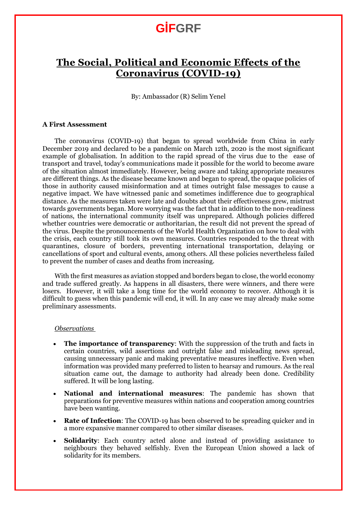### **GİFGRF**

### **The Social, Political and Economic Effects of the Coronavirus (COVID-19)**

By: Ambassador (R) Selim Yenel

#### **A First Assessment**

The coronavirus (COVID-19) that began to spread worldwide from China in early December 2019 and declared to be a pandemic on March 12th, 2020 is the most significant example of globalisation. In addition to the rapid spread of the virus due to the ease of transport and travel, today's communications made it possible for the world to become aware of the situation almost immediately. However, being aware and taking appropriate measures are different things. As the disease became known and began to spread, the opaque policies of those in authority caused misinformation and at times outright false messages to cause a negative impact. We have witnessed panic and sometimes indifference due to geographical distance. As the measures taken were late and doubts about their effectiveness grew, mistrust towards governments began. More worrying was the fact that in addition to the non-readiness of nations, the international community itself was unprepared. Although policies differed whether countries were democratic or authoritarian, the result did not prevent the spread of the virus. Despite the pronouncements of the World Health Organization on how to deal with the crisis, each country still took its own measures. Countries responded to the threat with quarantines, closure of borders, preventing international transportation, delaying or cancellations of sport and cultural events, among others. All these policies nevertheless failed to prevent the number of cases and deaths from increasing.

With the first measures as aviation stopped and borders began to close, the world economy and trade suffered greatly. As happens in all disasters, there were winners, and there were losers. However, it will take a long time for the world economy to recover. Although it is difficult to guess when this pandemic will end, it will. In any case we may already make some preliminary assessments.

#### *Observations*

- **The importance of transparency**: With the suppression of the truth and facts in certain countries, wild assertions and outright false and misleading news spread, causing unnecessary panic and making preventative measures ineffective. Even when information was provided many preferred to listen to hearsay and rumours. As the real situation came out, the damage to authority had already been done. Credibility suffered. It will be long lasting.
- **National and international measures**: The pandemic has shown that preparations for preventive measures within nations and cooperation among countries have been wanting.
- **Rate of Infection**: The COVID-19 has been observed to be spreading quicker and in a more expansive manner compared to other similar diseases.
- **Solidarity**: Each country acted alone and instead of providing assistance to neighbours they behaved selfishly. Even the European Union showed a lack of solidarity for its members.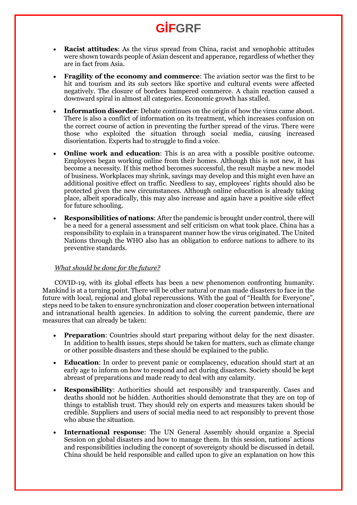# **GİFGRF**

- **Racist attitudes**: As the virus spread from China, racist and xenophobic attitudes were shown towards people of Asian descent and apperance, regardless of whether they are in fact from Asia.
- **Fragility of the economy and commerce**: The aviation sector was the first to be hit and tourism and its sub sectors like sportive and cultural events were affected negatively. The closure of borders hampered commerce. A chain reaction caused a downward spiral in almost all categories. Economic growth has stalled.
- **Information disorder**: Debate continues on the origin of how the virus came about. There is also a conflict of information on its treatment, which increases confusion on the correct course of action in preventing the further spread of the virus. There were those who exploited the situation through social media, causing increased disorientation. Experts had to struggle to find a voice.
- **Online work and education**: This is an area with a possible positive outcome. Employees began working online from their homes. Although this is not new, it has become a necessity. If this method becomes successful, the result maybe a new model of business. Workplaces may shrink, savings may develop and this might even have an additional positive effect on traffic. Needless to say, employees' rights should also be protected given the new circumstances. Although online education is already taking place, albeit sporadically, this may also increase and again have a positive side effect for future schooling.
- **Responsibilities of nations**: After the pandemic is brought under control, there will be a need for a general assessment and self criticism on what took place. China has a responsibility to explain in a transparent manner how the virus originated. The United Nations through the WHO also has an obligation to enforce nations to adhere to its preventive standards.

#### *What should be done for the future?*

COVID-19, with its global effects has been a new phenomenon confronting humanity. Mankind is at a turning point. There will be other natural or man made disasters to face in the future with local, regional and global repercussions. With the goal of "Health for Everyone", steps need to be taken to ensure synchronization and closer cooperation between international and intranational health agencies. In addition to solving the current pandemic, there are measures that can already be taken:

- **Preparation**: Countries should start preparing without delay for the next disaster. In addition to health issues, steps should be taken for matters, such as climate change or other possible disasters and these should be explained to the public.
- **Education**: In order to prevent panic or complacency, education should start at an early age to inform on how to respond and act during disasters. Society should be kept abreast of preparations and made ready to deal with any calamity.
- **Responsibility**: Authorities should act responsibly and transparently. Cases and deaths should not be hidden. Authorities should demonstrate that they are on top of things to establish trust. They should rely on experts and measures taken should be credible. Suppliers and users of social media need to act responsibly to prevent those who abuse the situation.
- **International response**: The UN General Assembly should organize a Special Session on global disasters and how to manage them. In this session, nations' actions and responsibilities including the concept of sovereignty should be discussed in detail. China should be held responsible and called upon to give an explanation on how this